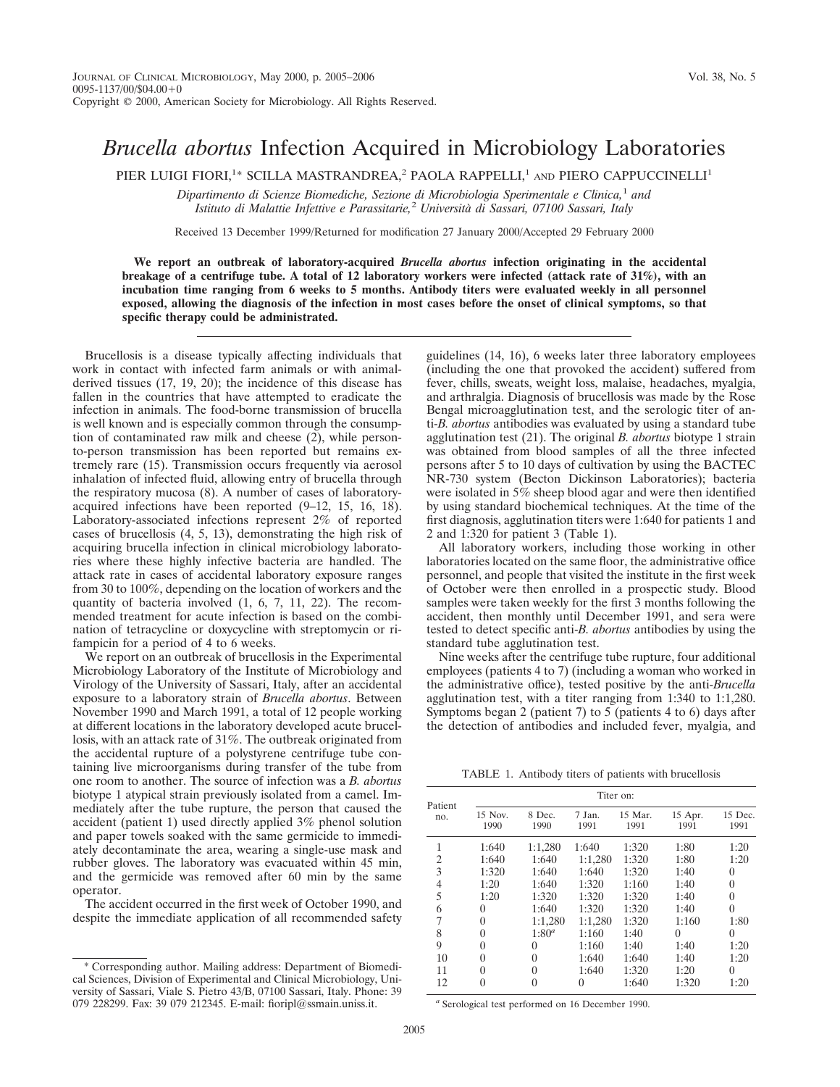## *Brucella abortus* Infection Acquired in Microbiology Laboratories

PIER LUIGI FIORI,<sup>1</sup>\* SCILLA MASTRANDREA,<sup>2</sup> PAOLA RAPPELLI,<sup>1</sup> AND PIERO CAPPUCCINELLI<sup>1</sup>

*Dipartimento di Scienze Biomediche, Sezione di Microbiologia Sperimentale e Clinica,*<sup>1</sup> *and Istituto di Malattie Infettive e Parassitarie,*<sup>2</sup> *Universita` di Sassari, 07100 Sassari, Italy*

Received 13 December 1999/Returned for modification 27 January 2000/Accepted 29 February 2000

**We report an outbreak of laboratory-acquired** *Brucella abortus* **infection originating in the accidental breakage of a centrifuge tube. A total of 12 laboratory workers were infected (attack rate of 31%), with an incubation time ranging from 6 weeks to 5 months. Antibody titers were evaluated weekly in all personnel exposed, allowing the diagnosis of the infection in most cases before the onset of clinical symptoms, so that specific therapy could be administrated.**

Brucellosis is a disease typically affecting individuals that work in contact with infected farm animals or with animalderived tissues (17, 19, 20); the incidence of this disease has fallen in the countries that have attempted to eradicate the infection in animals. The food-borne transmission of brucella is well known and is especially common through the consumption of contaminated raw milk and cheese (2), while personto-person transmission has been reported but remains extremely rare (15). Transmission occurs frequently via aerosol inhalation of infected fluid, allowing entry of brucella through the respiratory mucosa (8). A number of cases of laboratoryacquired infections have been reported (9–12, 15, 16, 18). Laboratory-associated infections represent 2% of reported cases of brucellosis (4, 5, 13), demonstrating the high risk of acquiring brucella infection in clinical microbiology laboratories where these highly infective bacteria are handled. The attack rate in cases of accidental laboratory exposure ranges from 30 to 100%, depending on the location of workers and the quantity of bacteria involved (1, 6, 7, 11, 22). The recommended treatment for acute infection is based on the combination of tetracycline or doxycycline with streptomycin or rifampicin for a period of 4 to 6 weeks.

We report on an outbreak of brucellosis in the Experimental Microbiology Laboratory of the Institute of Microbiology and Virology of the University of Sassari, Italy, after an accidental exposure to a laboratory strain of *Brucella abortus*. Between November 1990 and March 1991, a total of 12 people working at different locations in the laboratory developed acute brucellosis, with an attack rate of 31%. The outbreak originated from the accidental rupture of a polystyrene centrifuge tube containing live microorganisms during transfer of the tube from one room to another. The source of infection was a *B. abortus* biotype 1 atypical strain previously isolated from a camel. Immediately after the tube rupture, the person that caused the accident (patient 1) used directly applied 3% phenol solution and paper towels soaked with the same germicide to immediately decontaminate the area, wearing a single-use mask and rubber gloves. The laboratory was evacuated within 45 min, and the germicide was removed after 60 min by the same operator.

The accident occurred in the first week of October 1990, and despite the immediate application of all recommended safety

guidelines (14, 16), 6 weeks later three laboratory employees (including the one that provoked the accident) suffered from fever, chills, sweats, weight loss, malaise, headaches, myalgia, and arthralgia. Diagnosis of brucellosis was made by the Rose Bengal microagglutination test, and the serologic titer of anti-*B. abortus* antibodies was evaluated by using a standard tube agglutination test (21). The original *B. abortus* biotype 1 strain was obtained from blood samples of all the three infected persons after 5 to 10 days of cultivation by using the BACTEC NR-730 system (Becton Dickinson Laboratories); bacteria were isolated in 5% sheep blood agar and were then identified by using standard biochemical techniques. At the time of the first diagnosis, agglutination titers were 1:640 for patients 1 and 2 and 1:320 for patient 3 (Table 1).

All laboratory workers, including those working in other laboratories located on the same floor, the administrative office personnel, and people that visited the institute in the first week of October were then enrolled in a prospectic study. Blood samples were taken weekly for the first 3 months following the accident, then monthly until December 1991, and sera were tested to detect specific anti-*B. abortus* antibodies by using the standard tube agglutination test.

Nine weeks after the centrifuge tube rupture, four additional employees (patients 4 to 7) (including a woman who worked in the administrative office), tested positive by the anti-*Brucella* agglutination test, with a titer ranging from 1:340 to 1:1,280. Symptoms began 2 (patient 7) to 5 (patients 4 to 6) days after the detection of antibodies and included fever, myalgia, and

TABLE 1. Antibody titers of patients with brucellosis

| Patient<br>no. | Titer on:       |                |                |                 |                 |                 |
|----------------|-----------------|----------------|----------------|-----------------|-----------------|-----------------|
|                | 15 Nov.<br>1990 | 8 Dec.<br>1990 | 7 Jan.<br>1991 | 15 Mar.<br>1991 | 15 Apr.<br>1991 | 15 Dec.<br>1991 |
| 1              | 1:640           | 1:1.280        | 1:640          | 1:320           | 1:80            | 1:20            |
| 2              | 1:640           | 1:640          | 1:1,280        | 1:320           | 1:80            | 1:20            |
| 3              | 1:320           | 1:640          | 1:640          | 1:320           | 1:40            | 0               |
| 4              | 1:20            | 1:640          | 1:320          | 1:160           | 1:40            | 0               |
| 5              | 1:20            | 1:320          | 1:320          | 1:320           | 1:40            | $\theta$        |
| 6              | 0               | 1:640          | 1:320          | 1:320           | 1:40            | 0               |
| 7              | $\theta$        | 1:1,280        | 1:1,280        | 1:320           | 1:160           | 1:80            |
| 8              | $\theta$        | $1:80^a$       | 1:160          | 1:40            | $\theta$        | 0               |
| 9              | 0               | $\theta$       | 1:160          | 1:40            | 1:40            | 1:20            |
| 10             | $\mathbf{0}$    | $\Omega$       | 1:640          | 1:640           | 1:40            | 1:20            |
| 11             |                 | 0              | 1:640          | 1:320           | 1:20            | $\theta$        |
| 12             | $\theta$        | 0              | 0              | 1:640           | 1:320           | 1:20            |

*<sup>a</sup>* Serological test performed on 16 December 1990.

<sup>\*</sup> Corresponding author. Mailing address: Department of Biomedical Sciences, Division of Experimental and Clinical Microbiology, University of Sassari, Viale S. Pietro 43/B, 07100 Sassari, Italy. Phone: 39 079 228299. Fax: 39 079 212345. E-mail: fioripl@ssmain.uniss.it.